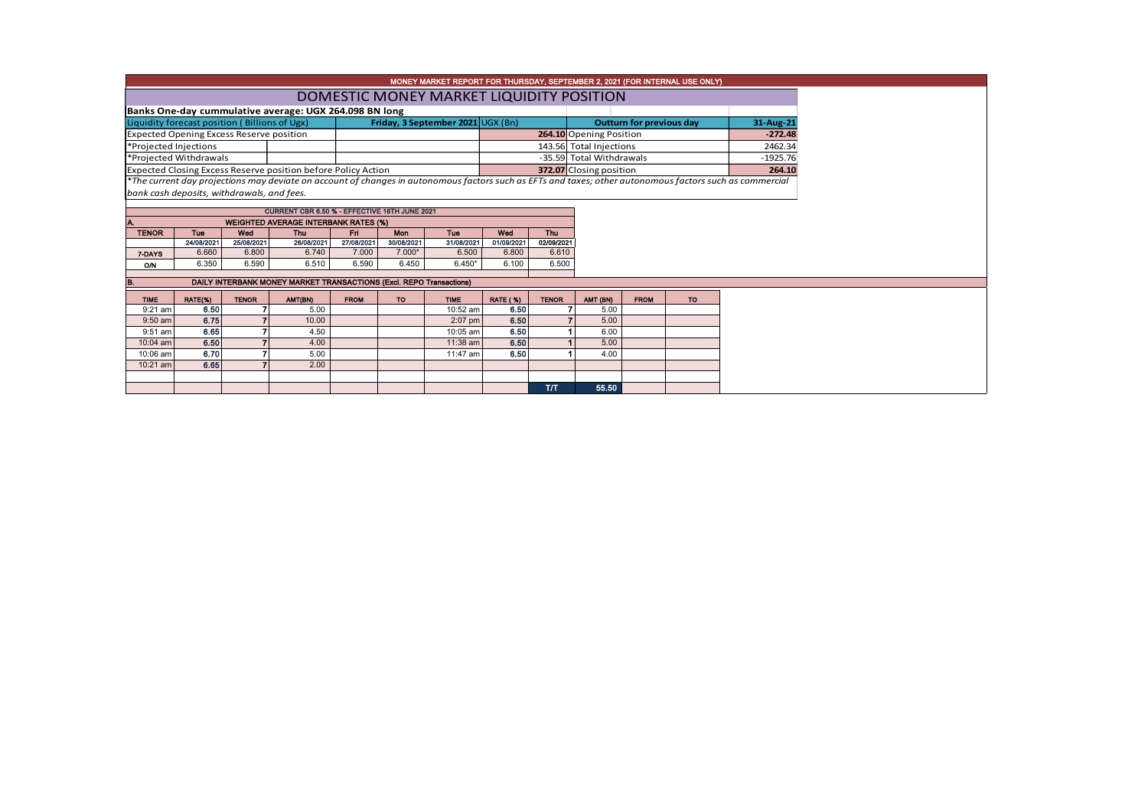| MONEY MARKET REPORT FOR THURSDAY, SEPTEMBER 2, 2021 (FOR INTERNAL USE ONLY) |                                                        |              |                                                                     |             |                                   |             |                   |              |                          |                                 |           |                                                                                                                                                          |  |  |  |
|-----------------------------------------------------------------------------|--------------------------------------------------------|--------------|---------------------------------------------------------------------|-------------|-----------------------------------|-------------|-------------------|--------------|--------------------------|---------------------------------|-----------|----------------------------------------------------------------------------------------------------------------------------------------------------------|--|--|--|
|                                                                             | DOMESTIC MONEY MARKET LIQUIDITY POSITION               |              |                                                                     |             |                                   |             |                   |              |                          |                                 |           |                                                                                                                                                          |  |  |  |
|                                                                             |                                                        |              |                                                                     |             |                                   |             |                   |              |                          |                                 |           |                                                                                                                                                          |  |  |  |
|                                                                             | Banks One-day cummulative average: UGX 264.098 BN long |              |                                                                     |             |                                   | 31-Aug-21   |                   |              |                          |                                 |           |                                                                                                                                                          |  |  |  |
|                                                                             | Liquidity forecast position (Billions of Ugx)          |              |                                                                     |             | Friday, 3 September 2021 UGX (Bn) |             |                   |              |                          | <b>Outturn for previous day</b> |           |                                                                                                                                                          |  |  |  |
|                                                                             | <b>Expected Opening Excess Reserve position</b>        |              |                                                                     |             |                                   |             |                   |              | 264.10 Opening Position  | $-272.48$                       |           |                                                                                                                                                          |  |  |  |
| *Projected Injections                                                       |                                                        |              |                                                                     |             |                                   |             |                   |              | 143.56 Total Injections  |                                 |           | 2462.34                                                                                                                                                  |  |  |  |
|                                                                             | *Projected Withdrawals                                 |              |                                                                     |             |                                   |             |                   |              | -35.59 Total Withdrawals |                                 |           | $-1925.76$                                                                                                                                               |  |  |  |
|                                                                             |                                                        |              | Expected Closing Excess Reserve position before Policy Action       |             |                                   |             |                   |              | 372.07 Closing position  |                                 |           | 264.10                                                                                                                                                   |  |  |  |
|                                                                             |                                                        |              |                                                                     |             |                                   |             |                   |              |                          |                                 |           | *The current day projections may deviate on account of changes in autonomous factors such as EFTs and taxes; other autonomous factors such as commercial |  |  |  |
|                                                                             | bank cash deposits, withdrawals, and fees.             |              |                                                                     |             |                                   |             |                   |              |                          |                                 |           |                                                                                                                                                          |  |  |  |
|                                                                             |                                                        |              | CURRENT CBR 6.50 % - EFFECTIVE 16TH JUNE 2021                       |             |                                   |             |                   |              |                          |                                 |           |                                                                                                                                                          |  |  |  |
|                                                                             |                                                        |              | <b>WEIGHTED AVERAGE INTERBANK RATES (%)</b>                         |             |                                   |             |                   |              |                          |                                 |           |                                                                                                                                                          |  |  |  |
| <b>TENOR</b>                                                                | <b>Tue</b>                                             | Wed          | <b>Thu</b>                                                          | Fri.        | <b>Mon</b><br>Tue                 |             |                   | <b>Thu</b>   |                          |                                 |           |                                                                                                                                                          |  |  |  |
|                                                                             | 24/08/2021                                             | 25/08/2021   | 26/08/2021                                                          | 27/08/2021  | 30/08/2021                        | 31/08/2021  | Wed<br>01/09/2021 | 02/09/2021   |                          |                                 |           |                                                                                                                                                          |  |  |  |
| 7-DAYS                                                                      | 6.660                                                  | 6.800        | 6.740                                                               | 7.000       | $7.000*$                          | 6.500       | 6.800             | 6.610        |                          |                                 |           |                                                                                                                                                          |  |  |  |
| <b>O/N</b>                                                                  | 6.350                                                  | 6.590        | 6.510                                                               | 6.590       | 6.450                             | $6.450*$    | 6.100             | 6.500        |                          |                                 |           |                                                                                                                                                          |  |  |  |
|                                                                             |                                                        |              |                                                                     |             |                                   |             |                   |              |                          |                                 |           |                                                                                                                                                          |  |  |  |
|                                                                             |                                                        |              | DAILY INTERBANK MONEY MARKET TRANSACTIONS (Excl. REPO Transactions) |             |                                   |             |                   |              |                          |                                 |           |                                                                                                                                                          |  |  |  |
| <b>TIME</b>                                                                 | RATE(%)                                                | <b>TENOR</b> | AMT(BN)                                                             | <b>FROM</b> | <b>TO</b>                         | <b>TIME</b> | <b>RATE (%)</b>   | <b>TENOR</b> | AMT (BN)                 | <b>FROM</b>                     | <b>TO</b> |                                                                                                                                                          |  |  |  |
| $9:21$ am                                                                   | 6.50                                                   |              | 5.00                                                                |             |                                   | 10:52 am    | 6.50              |              | 5.00                     |                                 |           |                                                                                                                                                          |  |  |  |
| $9:50$ am                                                                   | 6.75                                                   |              | 10.00                                                               |             |                                   | 2:07 pm     | 6.50              |              | 5.00                     |                                 |           |                                                                                                                                                          |  |  |  |
| 9:51 am                                                                     | 6.65                                                   |              | 4.50                                                                |             |                                   | 10:05 am    | 6.50              |              | 6.00                     |                                 |           |                                                                                                                                                          |  |  |  |
| 10:04 am                                                                    | 6.50                                                   |              | 4.00                                                                |             |                                   | 11:38 am    | 6.50              |              | 5.00                     |                                 |           |                                                                                                                                                          |  |  |  |
| 10:06 am                                                                    | 6.70                                                   |              | 5.00                                                                |             |                                   | 11:47 am    | 6.50              |              | 4.00                     |                                 |           |                                                                                                                                                          |  |  |  |
| 10:21 am                                                                    | 6.65                                                   |              | 2.00                                                                |             |                                   |             |                   |              |                          |                                 |           |                                                                                                                                                          |  |  |  |
|                                                                             |                                                        |              |                                                                     |             |                                   |             |                   |              |                          |                                 |           |                                                                                                                                                          |  |  |  |
|                                                                             |                                                        |              |                                                                     |             |                                   |             |                   | T/T          | 55.50                    |                                 |           |                                                                                                                                                          |  |  |  |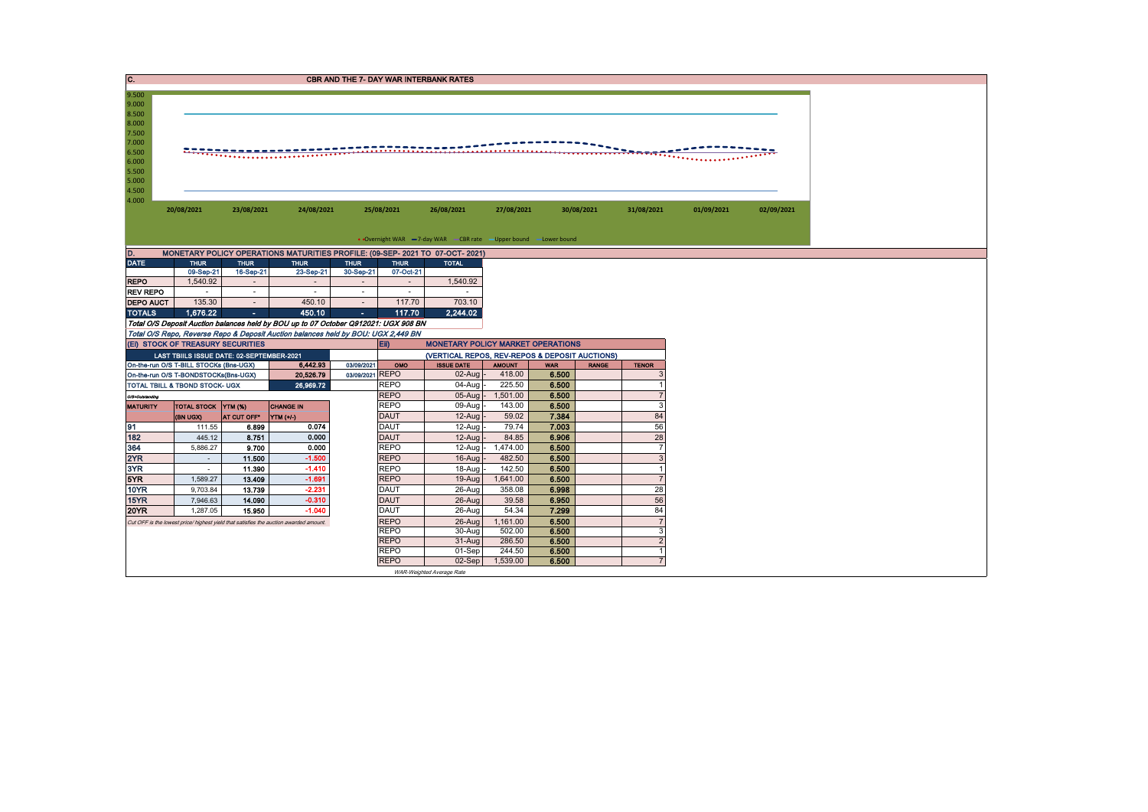| C.                  |                                                                                       |                          |                                                                                                                                                                          |                          |                            | <b>CBR AND THE 7- DAY WAR INTERBANK RATES</b>                     |                   |                |              |                                  |                |            |
|---------------------|---------------------------------------------------------------------------------------|--------------------------|--------------------------------------------------------------------------------------------------------------------------------------------------------------------------|--------------------------|----------------------------|-------------------------------------------------------------------|-------------------|----------------|--------------|----------------------------------|----------------|------------|
| 9.500               |                                                                                       |                          |                                                                                                                                                                          |                          |                            |                                                                   |                   |                |              |                                  |                |            |
| 9.000<br>8.500      |                                                                                       |                          |                                                                                                                                                                          |                          |                            |                                                                   |                   |                |              |                                  |                |            |
| 8.000               |                                                                                       |                          |                                                                                                                                                                          |                          |                            |                                                                   |                   |                |              |                                  |                |            |
| 7.500<br>7.000      |                                                                                       |                          |                                                                                                                                                                          |                          |                            |                                                                   |                   |                |              |                                  |                |            |
| 6.500               |                                                                                       |                          |                                                                                                                                                                          |                          |                            |                                                                   |                   |                |              | $\mathbf{R}$                     |                |            |
| 6.000               |                                                                                       |                          |                                                                                                                                                                          |                          |                            |                                                                   |                   |                |              |                                  | <b>There's</b> |            |
| 5.500<br>5.000      |                                                                                       |                          |                                                                                                                                                                          |                          |                            |                                                                   |                   |                |              |                                  |                |            |
| 4.500               |                                                                                       |                          |                                                                                                                                                                          |                          |                            |                                                                   |                   |                |              |                                  |                |            |
| 4.000               |                                                                                       |                          |                                                                                                                                                                          |                          |                            |                                                                   |                   |                |              |                                  |                |            |
|                     | 20/08/2021                                                                            | 23/08/2021               | 24/08/2021                                                                                                                                                               |                          | 25/08/2021                 | 26/08/2021                                                        | 27/08/2021        |                | 30/08/2021   | 31/08/2021                       | 01/09/2021     | 02/09/2021 |
|                     |                                                                                       |                          |                                                                                                                                                                          |                          |                            |                                                                   |                   |                |              |                                  |                |            |
|                     |                                                                                       |                          |                                                                                                                                                                          |                          |                            | • Overnight WAR -7-day WAR - CBR rate - Upper bound - Lower bound |                   |                |              |                                  |                |            |
| D.                  |                                                                                       |                          | MONETARY POLICY OPERATIONS MATURITIES PROFILE: (09-SEP- 2021 TO 07-OCT- 2021)                                                                                            |                          |                            |                                                                   |                   |                |              |                                  |                |            |
| <b>DATE</b>         | <b>THUR</b><br>09-Sep-21                                                              | <b>THUR</b><br>16-Sep-21 | <b>THUR</b><br>23-Sep-21                                                                                                                                                 | <b>THUR</b><br>30-Sep-21 | <b>THUR</b><br>07-Oct-21   | <b>TOTAL</b>                                                      |                   |                |              |                                  |                |            |
| <b>REPO</b>         | 1,540.92                                                                              |                          |                                                                                                                                                                          |                          |                            | 1,540.92                                                          |                   |                |              |                                  |                |            |
| <b>REV REPO</b>     |                                                                                       | $\sim$                   | $\sim$                                                                                                                                                                   | $\overline{\phantom{a}}$ | $\overline{\phantom{a}}$   |                                                                   |                   |                |              |                                  |                |            |
| <b>DEPO AUCT</b>    | 135.30                                                                                | $\sim$                   | 450.10                                                                                                                                                                   | $\sim$                   | 117.70                     | 703.10                                                            |                   |                |              |                                  |                |            |
| <b>TOTALS</b>       | 1,676.22                                                                              | $\sim$                   | 450.10                                                                                                                                                                   | $\sim$                   | 117.70                     | 2.244.02                                                          |                   |                |              |                                  |                |            |
|                     |                                                                                       |                          | Total O/S Deposit Auction balances held by BOU up to 07 October Q912021: UGX 908 BN<br>Total O/S Repo, Reverse Repo & Deposit Auction balances held by BOU: UGX 2,449 BN |                          |                            |                                                                   |                   |                |              |                                  |                |            |
|                     | (EI) STOCK OF TREASURY SECURITIES                                                     |                          |                                                                                                                                                                          |                          | $E$ ii)                    | <b>MONETARY POLICY MARKET OPERATIONS</b>                          |                   |                |              |                                  |                |            |
|                     | LAST TBIILS ISSUE DATE: 02-SEPTEMBER-2021                                             |                          |                                                                                                                                                                          |                          |                            | (VERTICAL REPOS, REV-REPOS & DEPOSIT AUCTIONS)                    |                   |                |              |                                  |                |            |
|                     | On-the-run O/S T-BILL STOCKs (Bns-UGX)                                                |                          | 6,442.93                                                                                                                                                                 | 03/09/2021               | OMO                        | <b>ISSUE DATE</b>                                                 | <b>AMOUNT</b>     | <b>WAR</b>     | <b>RANGE</b> | <b>TENOR</b>                     |                |            |
|                     | On-the-run O/S T-BONDSTOCKs(Bns-UGX)<br>TOTAL TBILL & TBOND STOCK- UGX                |                          | 20,526.79<br>26,969.72                                                                                                                                                   | 03/09/2021 REPO          | <b>REPO</b>                | $02$ -Aug<br>$04 - Aug$                                           | 418.00<br>225.50  | 6.500<br>6.500 |              | 3                                |                |            |
| O/S-Outstanding     |                                                                                       |                          |                                                                                                                                                                          |                          | <b>REPO</b>                | 05-Aug                                                            | 1,501.00          | 6.500          |              | $\overline{7}$                   |                |            |
| <b>MATURITY</b>     | TOTAL STOCK YTM (%)                                                                   |                          | <b>CHANGE IN</b>                                                                                                                                                         |                          | <b>REPO</b>                | 09-Aug                                                            | 143.00            | 6.500          |              | 3                                |                |            |
|                     | (BN UGX)                                                                              | AT CUT OFF*              | YTM (+/)                                                                                                                                                                 |                          | <b>DAUT</b>                | 12-Aug                                                            | 59.02             | 7.384          |              | 84                               |                |            |
| 91                  | 111.55                                                                                | 6.899                    | 0.074                                                                                                                                                                    |                          | <b>DAUT</b>                | 12-Aug                                                            | 79.74             | 7.003          |              | 56                               |                |            |
| 182<br>364          | 445.12<br>5,886.27                                                                    | 8.751<br>9.700           | 0.000<br>0.000                                                                                                                                                           |                          | <b>DAUT</b><br><b>REPO</b> | 12-Aug<br>12-Aug                                                  | 84.85<br>1,474.00 | 6.906<br>6.500 |              | 28<br>$\overline{7}$             |                |            |
| 2YR                 | $\sim$                                                                                | 11.500                   | $-1.500$                                                                                                                                                                 |                          | <b>REPO</b>                | 16-Aug                                                            | 482.50            | 6.500          |              | 3                                |                |            |
| 3YR                 | $\sim$                                                                                | 11.390                   | $-1.410$                                                                                                                                                                 |                          | <b>REPO</b>                | 18-Aug                                                            | 142.50            | 6.500          |              | -1                               |                |            |
| 5YR                 | 1,589.27                                                                              | 13.409                   | $-1.691$                                                                                                                                                                 |                          | <b>REPO</b>                | 19-Aug                                                            | 1,641.00          | 6.500          |              | $\overline{7}$                   |                |            |
| <b>10YR</b>         | 9,703.84                                                                              | 13.739                   | $-2.231$                                                                                                                                                                 |                          | <b>DAUT</b>                | 26-Aug                                                            | 358.08            | 6.998          |              | 28                               |                |            |
| 15YR<br><b>20YR</b> | 7,946.63<br>1,287.05                                                                  | 14.090<br>15.950         | $-0.310$<br>$-1.040$                                                                                                                                                     |                          | <b>DAUT</b><br><b>DAUT</b> | 26-Aug<br>26-Aug                                                  | 39.58<br>54.34    | 6.950<br>7.299 |              | 56<br>84                         |                |            |
|                     | Cut OFF is the lowest price/ highest yield that satisfies the auction awarded amount. |                          |                                                                                                                                                                          |                          | <b>REPO</b>                | 26-Aug                                                            | 1,161.00          | 6.500          |              | $\overline{7}$                   |                |            |
|                     |                                                                                       |                          |                                                                                                                                                                          |                          | <b>REPO</b>                | 30-Aug                                                            | 502.00            | 6.500          |              | 3                                |                |            |
|                     |                                                                                       |                          |                                                                                                                                                                          |                          | <b>REPO</b>                | 31-Aug                                                            | 286.50            | 6.500          |              | $\overline{2}$                   |                |            |
|                     |                                                                                       |                          |                                                                                                                                                                          |                          | <b>REPO</b>                | 01-Sep                                                            | 244.50            | 6.500          |              | $\overline{1}$<br>$\overline{7}$ |                |            |
|                     |                                                                                       |                          |                                                                                                                                                                          |                          | <b>REPO</b>                | 02-Sep<br>WAR-Weighted Average Rate                               | 1,539.00          | 6.500          |              |                                  |                |            |
|                     |                                                                                       |                          |                                                                                                                                                                          |                          |                            |                                                                   |                   |                |              |                                  |                |            |